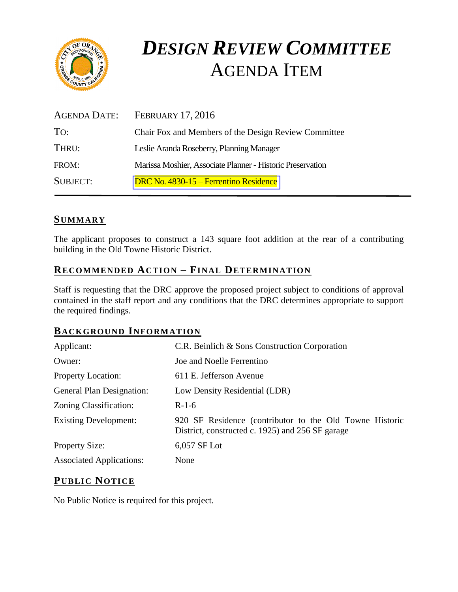

# *DESIGN REVIEW COMMITTEE*  AGENDA ITEM

| AGENDA DATE:    | <b>FEBRUARY 17, 2016</b>                                   |
|-----------------|------------------------------------------------------------|
| TO:             | Chair Fox and Members of the Design Review Committee       |
| THRU:           | Leslie Aranda Roseberry, Planning Manager                  |
| FROM:           | Marissa Moshier, Associate Planner - Historic Preservation |
| <b>SUBJECT:</b> | DRC No. 4830-15 – Ferrentino Residence                     |

# **SUMMARY**

The applicant proposes to construct a 143 square foot addition at the rear of a contributing building in the Old Towne Historic District.

# **RECOMMENDED ACTION – FINAL DETERMINATION**

Staff is requesting that the DRC approve the proposed project subject to conditions of approval contained in the staff report and any conditions that the DRC determines appropriate to support the required findings.

## **BACKGROUND INFORMATION**

| Applicant:                      | C.R. Beinlich & Sons Construction Corporation                                                               |
|---------------------------------|-------------------------------------------------------------------------------------------------------------|
| Owner:                          | Joe and Noelle Ferrentino                                                                                   |
| <b>Property Location:</b>       | 611 E. Jefferson Avenue                                                                                     |
| General Plan Designation:       | Low Density Residential (LDR)                                                                               |
| Zoning Classification:          | $R-1-6$                                                                                                     |
| <b>Existing Development:</b>    | 920 SF Residence (contributor to the Old Towne Historic<br>District, constructed c. 1925) and 256 SF garage |
| <b>Property Size:</b>           | 6,057 SF Lot                                                                                                |
| <b>Associated Applications:</b> | None                                                                                                        |

# **PUB LIC NOTICE**

No Public Notice is required for this project.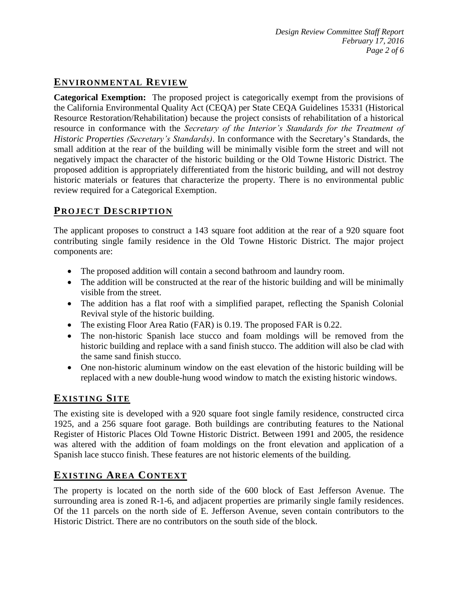# **ENVIRONMENTAL REVIEW**

**Categorical Exemption:** The proposed project is categorically exempt from the provisions of the California Environmental Quality Act (CEQA) per State CEQA Guidelines 15331 (Historical Resource Restoration/Rehabilitation) because the project consists of rehabilitation of a historical resource in conformance with the *Secretary of the Interior's Standards for the Treatment of Historic Properties (Secretary's Standards)*. In conformance with the Secretary's Standards, the small addition at the rear of the building will be minimally visible form the street and will not negatively impact the character of the historic building or the Old Towne Historic District. The proposed addition is appropriately differentiated from the historic building, and will not destroy historic materials or features that characterize the property. There is no environmental public review required for a Categorical Exemption.

# **PROJECT DESCRIP TION**

The applicant proposes to construct a 143 square foot addition at the rear of a 920 square foot contributing single family residence in the Old Towne Historic District. The major project components are:

- The proposed addition will contain a second bathroom and laundry room.
- The addition will be constructed at the rear of the historic building and will be minimally visible from the street.
- The addition has a flat roof with a simplified parapet, reflecting the Spanish Colonial Revival style of the historic building.
- The existing Floor Area Ratio (FAR) is 0.19. The proposed FAR is 0.22.
- The non-historic Spanish lace stucco and foam moldings will be removed from the historic building and replace with a sand finish stucco. The addition will also be clad with the same sand finish stucco.
- One non-historic aluminum window on the east elevation of the historic building will be replaced with a new double-hung wood window to match the existing historic windows.

# **EXISTING SITE**

The existing site is developed with a 920 square foot single family residence, constructed circa 1925, and a 256 square foot garage. Both buildings are contributing features to the National Register of Historic Places Old Towne Historic District. Between 1991 and 2005, the residence was altered with the addition of foam moldings on the front elevation and application of a Spanish lace stucco finish. These features are not historic elements of the building.

# **EXISTING AREA CONTEXT**

The property is located on the north side of the 600 block of East Jefferson Avenue. The surrounding area is zoned R-1-6, and adjacent properties are primarily single family residences. Of the 11 parcels on the north side of E. Jefferson Avenue, seven contain contributors to the Historic District. There are no contributors on the south side of the block.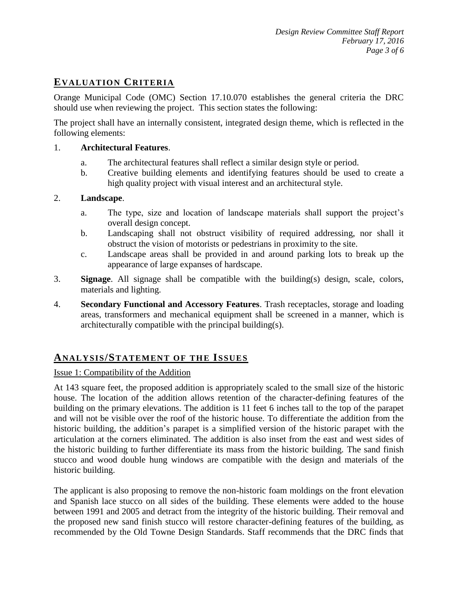# **EVALUATION CRITERIA**

Orange Municipal Code (OMC) Section 17.10.070 establishes the general criteria the DRC should use when reviewing the project. This section states the following:

The project shall have an internally consistent, integrated design theme, which is reflected in the following elements:

#### 1. **Architectural Features**.

- a. The architectural features shall reflect a similar design style or period.
- b. Creative building elements and identifying features should be used to create a high quality project with visual interest and an architectural style.

#### 2. **Landscape**.

- a. The type, size and location of landscape materials shall support the project's overall design concept.
- b. Landscaping shall not obstruct visibility of required addressing, nor shall it obstruct the vision of motorists or pedestrians in proximity to the site.
- c. Landscape areas shall be provided in and around parking lots to break up the appearance of large expanses of hardscape.
- 3. **Signage**. All signage shall be compatible with the building(s) design, scale, colors, materials and lighting.
- 4. **Secondary Functional and Accessory Features**. Trash receptacles, storage and loading areas, transformers and mechanical equipment shall be screened in a manner, which is architecturally compatible with the principal building(s).

### **ANALY SIS/STATEMENT OF THE ISSUES**

#### Issue 1: Compatibility of the Addition

At 143 square feet, the proposed addition is appropriately scaled to the small size of the historic house. The location of the addition allows retention of the character-defining features of the building on the primary elevations. The addition is 11 feet 6 inches tall to the top of the parapet and will not be visible over the roof of the historic house. To differentiate the addition from the historic building, the addition's parapet is a simplified version of the historic parapet with the articulation at the corners eliminated. The addition is also inset from the east and west sides of the historic building to further differentiate its mass from the historic building. The sand finish stucco and wood double hung windows are compatible with the design and materials of the historic building.

The applicant is also proposing to remove the non-historic foam moldings on the front elevation and Spanish lace stucco on all sides of the building. These elements were added to the house between 1991 and 2005 and detract from the integrity of the historic building. Their removal and the proposed new sand finish stucco will restore character-defining features of the building, as recommended by the Old Towne Design Standards. Staff recommends that the DRC finds that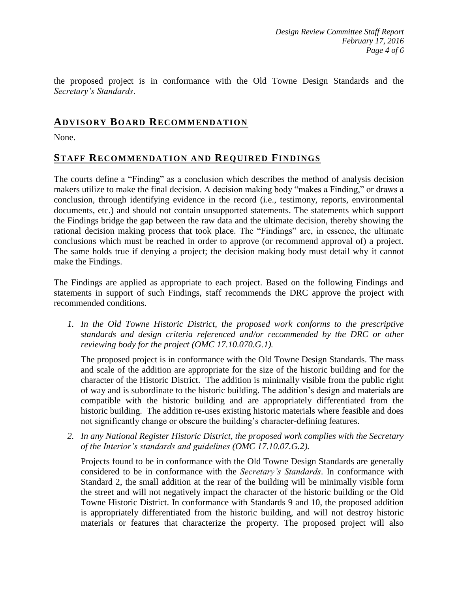the proposed project is in conformance with the Old Towne Design Standards and the *Secretary's Standards*.

### **ADVISORY BOARD RECOMMENDATION**

None.

## **STAFF RECOMMENDATION AND REQUIRED FINDINGS**

The courts define a "Finding" as a conclusion which describes the method of analysis decision makers utilize to make the final decision. A decision making body "makes a Finding," or draws a conclusion, through identifying evidence in the record (i.e., testimony, reports, environmental documents, etc.) and should not contain unsupported statements. The statements which support the Findings bridge the gap between the raw data and the ultimate decision, thereby showing the rational decision making process that took place. The "Findings" are, in essence, the ultimate conclusions which must be reached in order to approve (or recommend approval of) a project. The same holds true if denying a project; the decision making body must detail why it cannot make the Findings.

The Findings are applied as appropriate to each project. Based on the following Findings and statements in support of such Findings, staff recommends the DRC approve the project with recommended conditions.

*1. In the Old Towne Historic District, the proposed work conforms to the prescriptive standards and design criteria referenced and/or recommended by the DRC or other reviewing body for the project (OMC 17.10.070.G.1).*

The proposed project is in conformance with the Old Towne Design Standards. The mass and scale of the addition are appropriate for the size of the historic building and for the character of the Historic District. The addition is minimally visible from the public right of way and is subordinate to the historic building. The addition's design and materials are compatible with the historic building and are appropriately differentiated from the historic building. The addition re-uses existing historic materials where feasible and does not significantly change or obscure the building's character-defining features.

*2. In any National Register Historic District, the proposed work complies with the Secretary of the Interior's standards and guidelines (OMC 17.10.07.G.2).*

Projects found to be in conformance with the Old Towne Design Standards are generally considered to be in conformance with the *Secretary's Standards*. In conformance with Standard 2, the small addition at the rear of the building will be minimally visible form the street and will not negatively impact the character of the historic building or the Old Towne Historic District. In conformance with Standards 9 and 10, the proposed addition is appropriately differentiated from the historic building, and will not destroy historic materials or features that characterize the property. The proposed project will also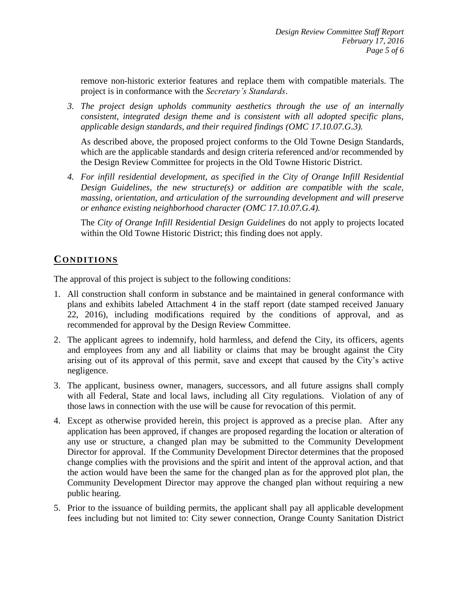remove non-historic exterior features and replace them with compatible materials. The project is in conformance with the *Secretary's Standards*.

*3. The project design upholds community aesthetics through the use of an internally consistent, integrated design theme and is consistent with all adopted specific plans, applicable design standards, and their required findings (OMC 17.10.07.G.3).*

As described above, the proposed project conforms to the Old Towne Design Standards, which are the applicable standards and design criteria referenced and/or recommended by the Design Review Committee for projects in the Old Towne Historic District.

*4. For infill residential development, as specified in the City of Orange Infill Residential Design Guidelines, the new structure(s) or addition are compatible with the scale, massing, orientation, and articulation of the surrounding development and will preserve or enhance existing neighborhood character (OMC 17.10.07.G.4).*

The *City of Orange Infill Residential Design Guidelines* do not apply to projects located within the Old Towne Historic District; this finding does not apply.

# **CONDITIONS**

The approval of this project is subject to the following conditions:

- 1. All construction shall conform in substance and be maintained in general conformance with plans and exhibits labeled Attachment 4 in the staff report (date stamped received January 22, 2016), including modifications required by the conditions of approval, and as recommended for approval by the Design Review Committee.
- 2. The applicant agrees to indemnify, hold harmless, and defend the City, its officers, agents and employees from any and all liability or claims that may be brought against the City arising out of its approval of this permit, save and except that caused by the City's active negligence.
- 3. The applicant, business owner, managers, successors, and all future assigns shall comply with all Federal, State and local laws, including all City regulations. Violation of any of those laws in connection with the use will be cause for revocation of this permit.
- 4. Except as otherwise provided herein, this project is approved as a precise plan. After any application has been approved, if changes are proposed regarding the location or alteration of any use or structure, a changed plan may be submitted to the Community Development Director for approval. If the Community Development Director determines that the proposed change complies with the provisions and the spirit and intent of the approval action, and that the action would have been the same for the changed plan as for the approved plot plan, the Community Development Director may approve the changed plan without requiring a new public hearing.
- 5. Prior to the issuance of building permits, the applicant shall pay all applicable development fees including but not limited to: City sewer connection, Orange County Sanitation District